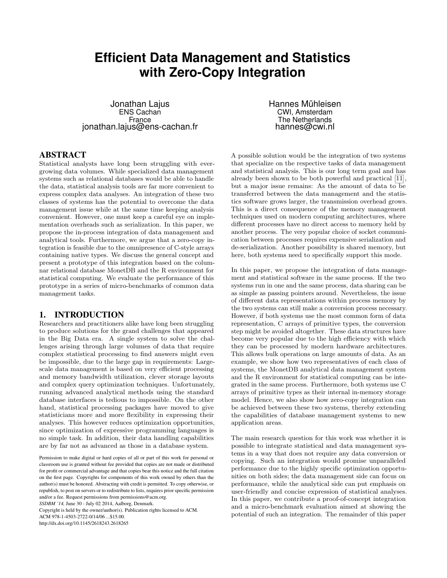# **Efficient Data Management and Statistics with Zero-Copy Integration**

Jonathan Lajus ENS Cachan France jonathan.lajus@ens-cachan.fr Hannes Mühleisen CWI, Amsterdam The Netherlands hannes@cwi.nl

#### ABSTRACT

Statistical analysts have long been struggling with evergrowing data volumes. While specialized data management systems such as relational databases would be able to handle the data, statistical analysis tools are far more convenient to express complex data analyses. An integration of these two classes of systems has the potential to overcome the data management issue while at the same time keeping analysis convenient. However, one must keep a careful eye on implementation overheads such as serialization. In this paper, we propose the in-process integration of data management and analytical tools. Furthermore, we argue that a zero-copy integration is feasible due to the omnipresence of C-style arrays containing native types. We discuss the general concept and present a prototype of this integration based on the columnar relational database MonetDB and the R environment for statistical computing. We evaluate the performance of this prototype in a series of micro-benchmarks of common data management tasks.

#### 1. INTRODUCTION

Researchers and practitioners alike have long been struggling to produce solutions for the grand challenges that appeared in the Big Data era. A single system to solve the challenges arising through large volumes of data that require complex statistical processing to find answers might even be impossible, due to the large gap in requirements: Largescale data management is based on very efficient processing and memory bandwidth utilization, clever storage layouts and complex query optimization techniques. Unfortunately, running advanced analytical methods using the standard database interfaces is tedious to impossible. On the other hand, statistical processing packages have moved to give statisticians more and more flexibility in expressing their analyses. This however reduces optimization opportunities, since optimization of expressive programming languages is no simple task. In addition, their data handling capabilities are by far not as advanced as those in a database system.

http://dx.doi.org/10.1145/2618243.2618265

A possible solution would be the integration of two systems that specialize on the respective tasks of data management and statistical analysis. This is our long term goal and has already been shown to be both powerful and practical [\[11\]](#page-8-0), but a major issue remains: As the amount of data to be transferred between the data management and the statistics software grows larger, the transmission overhead grows. This is a direct consequence of the memory management techniques used on modern computing architectures, where different processes have no direct access to memory held by another process. The very popular choice of socket communication between processes requires expensive serialization and de-serialization. Another possibility is shared memory, but here, both systems need to specifically support this mode.

In this paper, we propose the integration of data management and statistical software in the same process. If the two systems run in one and the same process, data sharing can be as simple as passing pointers around. Nevertheless, the issue of different data representations within process memory by the two systems can still make a conversion process necessary. However, if both systems use the most common form of data representation, C arrays of primitive types, the conversion step might be avoided altogether. These data structures have become very popular due to the high efficiency with which they can be processed by modern hardware architectures. This allows bulk operations on large amounts of data. As an example, we show how two representatives of each class of systems, the MonetDB analytical data management system and the R environment for statistical computing can be integrated in the same process. Furthermore, both systems use C arrays of primitive types as their internal in-memory storage model. Hence, we also show how zero-copy integration can be achieved between these two systems, thereby extending the capabilities of database management systems to new application areas.

The main research question for this work was whether it is possible to integrate statistical and data management systems in a way that does not require any data conversion or copying. Such an integration would promise unparalleled performance due to the highly specific optimization opportunities on both sides; the data management side can focus on performance, while the analytical side can put emphasis on user-friendly and concise expression of statistical analyses. In this paper, we contribute a proof-of-concept integration and a micro-benchmark evaluation aimed at showing the potential of such an integration. The remainder of this paper

Permission to make digital or hard copies of all or part of this work for personal or classroom use is granted without fee provided that copies are not made or distributed for profit or commercial advantage and that copies bear this notice and the full citation on the first page. Copyrights for components of this work owned by others than the author(s) must be honored. Abstracting with credit is permitted. To copy otherwise, or republish, to post on servers or to redistribute to lists, requires prior specific permission and/or a fee. Request permissions from permissions@acm.org. *SSDBM '14,* June 30 - July 02 2014, Aalborg, Denmark. Copyright is held by the owner/author(s). Publication rights licensed to ACM. ACM 978-1-4503-2722-0/14/06 ...\$15.00.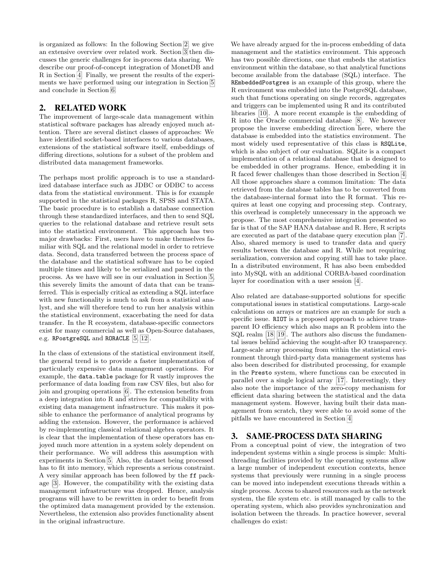is organized as follows: In the following Section [2,](#page-1-0) we give an extensive overview over related work. Section [3](#page-1-1) then discusses the generic challenges for in-process data sharing. We describe our proof-of-concept integration of MonetDB and R in Section [4.](#page-3-0) Finally, we present the results of the experiments we have performed using our integration in Section [5](#page-5-0) and conclude in Section [6.](#page-7-0)

# <span id="page-1-0"></span>2. RELATED WORK

The improvement of large-scale data management within statistical software packages has already enjoyed much attention. There are several distinct classes of approaches: We have identified socket-based interfaces to various databases, extensions of the statistical software itself, embeddings of differing directions, solutions for a subset of the problem and distributed data management frameworks.

The perhaps most prolific approach is to use a standardized database interface such as JDBC or ODBC to access data from the statistical environment. This is for example supported in the statistical packages R, SPSS and STATA. The basic procedure is to establish a database connection through these standardized interfaces, and then to send SQL queries to the relational database and retrieve result sets into the statistical environment. This approach has two major drawbacks: First, users have to make themselves familiar with SQL and the relational model in order to retrieve data. Second, data transferred between the process space of the database and the statistical software has to be copied multiple times and likely to be serialized and parsed in the process. As we have will see in our evaluation in Section [5,](#page-5-0) this severely limits the amount of data that can be transferred. This is especially critical as extending a SQL interface with new functionality is much to ask from a statistical analyst, and she will therefore tend to run her analysis within the statistical environment, exacerbating the need for data transfer. In the R ecosystem, database-specific connectors exist for many commercial as well as Open-Source databases, e.g. RPostgreSQL and RORACLE [\[5,](#page-8-1) [12\]](#page-8-2).

In the class of extensions of the statistical environment itself, the general trend is to provide a faster implementation of particularly expensive data management operations. For example, the data.table package for R vastly improves the performance of data loading from raw CSV files, but also for join and grouping operations [\[6\]](#page-8-3). The extension benefits from a deep integration into R and strives for compatibility with existing data management infrastructure. This makes it possible to enhance the performance of analytical programs by adding the extension. However, the performance is achieved by re-implementing classical relational algebra operators. It is clear that the implementation of these operators has enjoyed much more attention in a system solely dependent on their performance. We will address this assumption with experiments in Section [5.](#page-5-0) Also, the dataset being processed has to fit into memory, which represents a serious constraint. A very similar approach has been followed by the ff package [\[3\]](#page-8-4). However, the compatibility with the existing data management infrastructure was dropped. Hence, analysis programs will have to be rewritten in order to benefit from the optimized data management provided by the extension. Nevertheless, the extension also provides functionality absent in the original infrastructure.

We have already argued for the in-process embedding of data management and the statistics environment. This approach has two possible directions, one that embeds the statistics environment within the database, so that analytical functions become available from the database (SQL) interface. The REmbeddedPostgres is an example of this group, where the R environment was embedded into the PostgreSQL database, such that functions operating on single records, aggregates and triggers can be implemented using R and its contributed libraries [\[10\]](#page-8-5). A more recent example is the embedding of R into the Oracle commercial database [\[8\]](#page-8-6). We however propose the inverse embedding direction here, where the database is embedded into the statistics environment. The most widely used representative of this class is RSQLite, which is also subject of our evaluation. SQLite is a compact implementation of a relational database that is designed to be embedded in other programs. Hence, embedding it in R faced fewer challenges than those described in Section [4.](#page-3-0) All those approaches share a common limitation: The data retrieved from the database tables has to be converted from the database-internal format into the R format. This requires at least one copying and processing step. Contrary, this overhead is completely unnecessary in the approach we propose. The most comprehensive integration presented so far is that of the SAP HANA database and R. Here, R scripts are executed as part of the database query execution plan [\[7\]](#page-8-7). Also, shared memory is used to transfer data and query results between the database and R. While not requiring serialization, conversion and copying still has to take place. In a distributed environment, R has also been embedded into MySQL with an additional CORBA-based coordination layer for coordination with a user session [\[4\]](#page-8-8).

Also related are database-supported solutions for specific computational issues in statistical computations. Large-scale calculations on arrays or matrices are an example for such a specific issue. RIOT is a proposed approach to achieve transparent IO efficiency which also maps an R problem into the SQL realm [\[18,](#page-9-0) [19\]](#page-9-1). The authors also discuss the fundamental issues behind achieving the sought-after IO transparency. Large-scale array processing from within the statistical environment through third-party data management systems has also been described for distributed processing, for example in the Presto system, where functions can be executed in parallel over a single logical array [\[17\]](#page-9-2). Interestingly, they also note the importance of the zero-copy mechanism for efficient data sharing between the statistical and the data management system. However, having built their data management from scratch, they were able to avoid some of the pitfalls we have encountered in Section [4.](#page-3-0)

# <span id="page-1-1"></span>3. SAME-PROCESS DATA SHARING

From a conceptual point of view, the integration of two independent systems within a single process is simple: Multithreading facilities provided by the operating systems allow a large number of independent execution contexts, hence systems that previously were running in a single process can be moved into independent executions threads within a single process. Access to shared resources such as the network system, the file system etc. is still managed by calls to the operating system, which also provides synchronization and isolation between the threads. In practice however, several challenges do exist: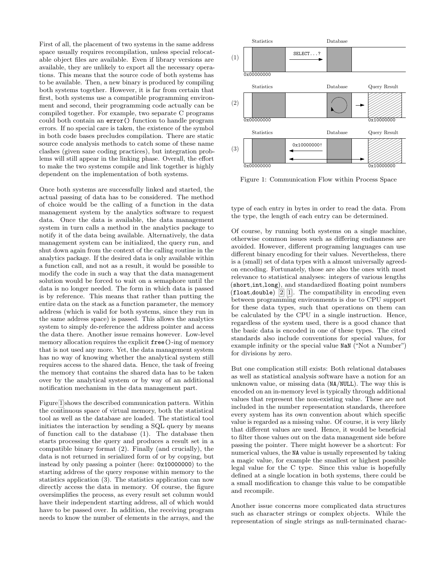First of all, the placement of two systems in the same address space usually requires recompilation, unless special relocatable object files are available. Even if library versions are available, they are unlikely to export all the necessary operations. This means that the source code of both systems has to be available. Then, a new binary is produced by compiling both systems together. However, it is far from certain that first, both systems use a compatible programming environment and second, their programming code actually can be compiled together. For example, two separate C programs could both contain an error() function to handle program errors. If no special care is taken, the existence of the symbol in both code bases precludes compilation. There are static source code analysis methods to catch some of these name clashes (given sane coding practices), but integration problems will still appear in the linking phase. Overall, the effort to make the two systems compile and link together is highly dependent on the implementation of both systems.

Once both systems are successfully linked and started, the actual passing of data has to be considered. The method of choice would be the calling of a function in the data management system by the analytics software to request data. Once the data is available, the data management system in turn calls a method in the analytics package to notify it of the data being available. Alternatively, the data management system can be initialized, the query run, and shut down again from the context of the calling routine in the analytics package. If the desired data is only available within a function call, and not as a result, it would be possible to modify the code in such a way that the data management solution would be forced to wait on a semaphore until the data is no longer needed. The form in which data is passed is by reference. This means that rather than putting the entire data on the stack as a function parameter, the memory address (which is valid for both systems, since they run in the same address space) is passed. This allows the analytics system to simply de-reference the address pointer and access the data there. Another issue remains however. Low-level memory allocation requires the explicit free()-ing of memory that is not used any more. Yet, the data management system has no way of knowing whether the analytical system still requires access to the shared data. Hence, the task of freeing the memory that contains the shared data has to be taken over by the analytical system or by way of an additional notification mechanism in the data management part.

Figure [1](#page-2-0) shows the described communication pattern. Within the continuous space of virtual memory, both the statistical tool as well as the database are loaded. The statistical tool initiates the interaction by sending a SQL query by means of function call to the database (1). The database then starts processing the query and produces a result set in a compatible binary format (2). Finally (and crucially), the data is not returned in serialized form of or by copying, but instead by only passing a pointer (here: 0x10000000) to the starting address of the query response within memory to the statistics application (3). The statistics application can now directly access the data in memory. Of course, the figure oversimplifies the process, as every result set column would have their independent starting address, all of which would have to be passed over. In addition, the receiving program needs to know the number of elements in the arrays, and the

<span id="page-2-0"></span>

Figure 1: Communication Flow within Process Space

type of each entry in bytes in order to read the data. From the type, the length of each entry can be determined.

Of course, by running both systems on a single machine, otherwise common issues such as differing endianness are avoided. However, different programing languages can use different binary encoding for their values. Nevertheless, there is a (small) set of data types with a almost universally agreedon encoding. Fortunately, those are also the ones with most relevance to statistical analyses: integers of various lengths (short,int,long), and standardized floating point numbers (float,double) [\[2,](#page-8-9) [1\]](#page-8-10). The compatibility in encoding even between programming environments is due to CPU support for these data types, such that operations on them can be calculated by the CPU in a single instruction. Hence, regardless of the system used, there is a good chance that the basic data is encoded in one of these types. The cited standards also include conventions for special values, for example infinity or the special value NaN ("Not a Number") for divisions by zero.

But one complication still exists: Both relational databases as well as statistical analysis software have a notion for an unknown value, or missing data (NA/NULL). The way this is encoded on an in-memory level is typically through additional values that represent the non-existing value. These are not included in the number representation standards, therefore every system has its own convention about which specific value is regarded as a missing value. Of course, it is very likely that different values are used. Hence, it would be beneficial to filter those values out on the data management side before passing the pointer. There might however be a shortcut: For numerical values, the NA value is usually represented by taking a magic value, for example the smallest or highest possible legal value for the C type. Since this value is hopefully defined at a single location in both systems, there could be a small modification to change this value to be compatible and recompile.

Another issue concerns more complicated data structures such as character strings or complex objects. While the representation of single strings as null-terminated charac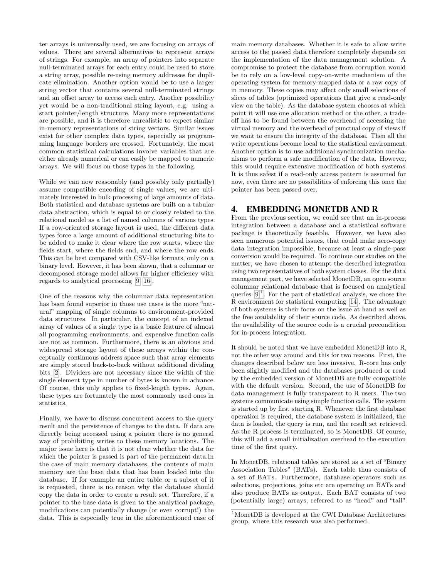ter arrays is universally used, we are focusing on arrays of values. There are several alternatives to represent arrays of strings. For example, an array of pointers into separate null-terminated arrays for each entry could be used to store a string array, possible re-using memory addresses for duplicate elimination. Another option would be to use a larger string vector that contains several null-terminated strings and an offset array to access each entry. Another possibility yet would be a non-traditional string layout, e.g. using a start pointer/length structure. Many more representations are possible, and it is therefore unrealistic to expect similar in-memory representations of string vectors. Similar issues exist for other complex data types, especially as programming language borders are crossed. Fortunately, the most common statistical calculations involve variables that are either already numerical or can easily be mapped to numeric arrays. We will focus on those types in the following.

While we can now reasonably (and possibly only partially) assume compatible encoding of single values, we are ultimately interested in bulk processing of large amounts of data. Both statistical and database systems are built on a tabular data abstraction, which is equal to or closely related to the relational model as a list of named columns of various types. If a row-oriented storage layout is used, the different data types force a large amount of additional structuring bits to be added to make it clear where the row starts, where the fields start, where the fields end, and where the row ends. This can be best compared with CSV-like formats, only on a binary level. However, it has been shown, that a columnar or decomposed storage model allows far higher efficiency with regards to analytical processing [\[9,](#page-8-11) [16\]](#page-9-3).

One of the reasons why the columnar data representation has been found superior in those use cases is the more "natural" mapping of single columns to environment-provided data structures. In particular, the concept of an indexed array of values of a single type is a basic feature of almost all programming environments, and expensive function calls are not as common. Furthermore, there is an obvious and widespread storage layout of these arrays within the conceptually continuous address space such that array elements are simply stored back-to-back without additional dividing bits [\[2\]](#page-8-9). Dividers are not necessary since the width of the single element type in number of bytes is known in advance. Of course, this only applies to fixed-length types. Again, these types are fortunately the most commonly used ones in statistics.

Finally, we have to discuss concurrent access to the query result and the persistence of changes to the data. If data are directly being accessed using a pointer there is no general way of prohibiting writes to these memory locations. The major issue here is that it is not clear whether the data for which the pointer is passed is part of the permanent data.In the case of main memory databases, the contents of main memory are the base data that has been loaded into the database. If for example an entire table or a subset of it is requested, there is no reason why the database should copy the data in order to create a result set. Therefore, if a pointer to the base data is given to the analytical package, modifications can potentially change (or even corrupt!) the data. This is especially true in the aforementioned case of

main memory databases. Whether it is safe to allow write access to the passed data therefore completely depends on the implementation of the data management solution. A compromise to protect the database from corruption would be to rely on a low-level copy-on-write mechanism of the operating system for memory-mapped data or a raw copy of in memory. These copies may affect only small selections of slices of tables (optimized operations that give a read-only view on the table). As the database system chooses at which point it will use one allocation method or the other, a tradeoff has to be found between the overhead of accessing the virtual memory and the overhead of punctual copy of views if we want to ensure the integrity of the database. Then all the write operations become local to the statistical environment. Another option is to use additional synchronization mechanisms to perform a safe modification of the data. However, this would require extensive modification of both systems. It is thus safest if a read-only access pattern is assumed for now, even there are no possibilities of enforcing this once the pointer has been passed over.

### <span id="page-3-0"></span>4. EMBEDDING MONETDB AND R

From the previous section, we could see that an in-process integration between a database and a statistical software package is theoretically feasible. However, we have also seen numerous potential issues, that could make zero-copy data integration impossible, because at least a single-pass conversion would be required. To continue our studies on the matter, we have chosen to attempt the described integration using two representatives of both system classes. For the data management part, we have selected MonetDB, an open source columnar relational database that is focused on analytical queries  $[9]$ <sup>[1](#page-3-1)</sup>. For the part of statistical analysis, we chose the R environment for statistical computing [\[14\]](#page-9-4). The advantage of both systems is their focus on the issue at hand as well as the free availability of their source code. As described above, the availability of the source code is a crucial precondition for in-process integration.

It should be noted that we have embedded MonetDB into R, not the other way around and this for two reasons. First, the changes described below are less invasive. R-core has only been slightly modified and the databases produced or read by the embedded version of MonetDB are fully compatible with the default version. Second, the use of MonetDB for data management is fully transparent to R users. The two systems communicate using simple function calls. The system is started up by first starting R. Whenever the first database operation is required, the database system is initialized, the data is loaded, the query is run, and the result set retrieved. As the R process is terminated, so is MonetDB. Of course, this will add a small initialization overhead to the execution time of the first query.

In MonetDB, relational tables are stored as a set of "Binary Association Tables" (BATs). Each table thus consists of a set of BATs. Furthermore, database operators such as selections, projections, joins etc are operating on BATs and also produce BATs as output. Each BAT consists of two (potentially large) arrays, referred to as "head" and "tail".

<span id="page-3-1"></span><sup>&</sup>lt;sup>1</sup>MonetDB is developed at the CWI Database Architectures group, where this research was also performed.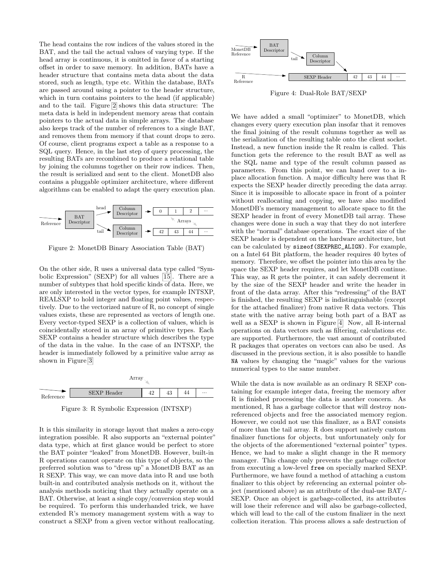The head contains the row indices of the values stored in the BAT, and the tail the actual values of varying type. If the head array is continuous, it is omitted in favor of a starting offset in order to save memory. In addition, BATs have a header structure that contains meta data about the data stored, such as length, type etc. Within the database, BATs are passed around using a pointer to the header structure, which in turn contains pointers to the head (if applicable) and to the tail. Figure [2](#page-4-0) shows this data structure: The meta data is held in independent memory areas that contain pointers to the actual data in simple arrays. The database also keeps track of the number of references to a single BAT, and removes them from memory if that count drops to zero. Of course, client programs expect a table as a response to a SQL query. Hence, in the last step of query processing, the resulting BATs are recombined to produce a relational table by joining the columns together on their row indices. Then, the result is serialized and sent to the client. MonetDB also contains a pluggable optimizer architecture, where different algorithms can be enabled to adapt the query execution plan.

<span id="page-4-0"></span>

Figure 2: MonetDB Binary Association Table (BAT)

On the other side, R uses a universal data type called "Symbolic Expression" (SEXP) for all values [\[15\]](#page-9-5). There are a number of subtypes that hold specific kinds of data. Here, we are only interested in the vector types, for example INTSXP, REALSXP to hold integer and floating point values, respectively. Due to the vectorized nature of R, no concept of single values exists, these are represented as vectors of length one. Every vector-typed SEXP is a collection of values, which is coincidentally stored in an array of primitive types. Each SEXP contains a header structure which describes the type of the data in the value. In the case of an INTSXP, the header is immediately followed by a primitive value array as shown in Figure [3.](#page-4-1)

<span id="page-4-1"></span> $42 \mid 43 \mid 44 \mid \cdots$ Reference SEXP Header Array

Figure 3: R Symbolic Expression (INTSXP)

It is this similarity in storage layout that makes a zero-copy integration possible. R also supports an "external pointer" data type, which at first glance would be perfect to store the BAT pointer "leaked" from MonetDB. However, built-in R operations cannot operate on this type of objects, so the preferred solution was to "dress up" a MonetDB BAT as an R SEXP. This way, we can move data into R and use both built-in and contributed analysis methods on it, without the analysis methods noticing that they actually operate on a BAT. Otherwise, at least a single copy/conversion step would be required. To perform this underhanded trick, we have extended R's memory management system with a way to construct a SEXP from a given vector without reallocating.

<span id="page-4-2"></span>

Figure 4: Dual-Role BAT/SEXP

We have added a small "optimizer" to MonetDB, which changes every query execution plan insofar that it removes the final joining of the result columns together as well as the serialization of the resulting table onto the client socket. Instead, a new function inside the R realm is called. This function gets the reference to the result BAT as well as the SQL name and type of the result column passed as parameters. From this point, we can hand over to a inplace allocation function. A major difficulty here was that R expects the SEXP header directly preceding the data array. Since it is impossible to allocate space in front of a pointer without reallocating and copying, we have also modified MonetDB's memory management to allocate space to fit the SEXP header in front of every MonetDB tail array. These changes were done in such a way that they do not interfere with the "normal" database operations. The exact size of the SEXP header is dependent on the hardware architecture, but can be calculated by sizeof(SEXPREC\_ALIGN). For example, on a Intel 64 Bit platform, the header requires 40 bytes of memory. Therefore, we offset the pointer into this area by the space the SEXP header requires, and let MonetDB continue. This way, as R gets the pointer, it can safely decrement it by the size of the SEXP header and write the header in front of the data array. After this "redressing" of the BAT is finished, the resulting SEXP is indistinguishable (except for the attached finalizer) from native R data vectors. This state with the native array being both part of a BAT as well as a SEXP is shown in Figure [4.](#page-4-2) Now, all R-internal operations on data vectors such as filtering, calculations etc. are supported. Furthermore, the vast amount of contributed R packages that operates on vectors can also be used. As discussed in the previous section, it is also possible to handle NA values by changing the "magic" values for the various numerical types to the same number.

While the data is now available as an ordinary R SEXP containing for example integer data, freeing the memory after R is finished processing the data is another concern. As mentioned, R has a garbage collector that will destroy nonreferenced objects and free the associated memory region. However, we could not use this finalizer, as a BAT consists of more than the tail array. R does support natively custom finalizer functions for objects, but unfortunately only for the objects of the aforementioned "external pointer" types. Hence, we had to make a slight change in the R memory manager. This change only prevents the garbage collector from executing a low-level free on specially marked SEXP. Furthermore, we have found a method of attaching a custom finalizer to this object by referencing an external pointer object (mentioned above) as an attribute of the dual-use BAT/- SEXP. Once an object is garbage-collected, its attributes will lose their reference and will also be garbage-collected, which will lead to the call of the custom finalizer in the next collection iteration. This process allows a safe destruction of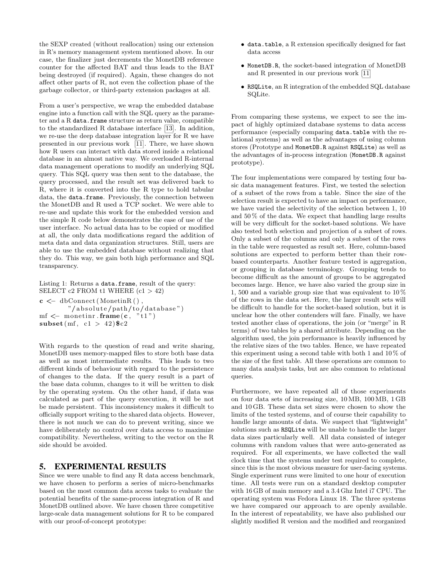the SEXP created (without reallocation) using our extension in R's memory management system mentioned above. In our case, the finalizer just decrements the MonetDB reference counter for the affected BAT and thus leads to the BAT being destroyed (if required). Again, these changes do not affect other parts of R, not even the collection phase of the garbage collector, or third-party extension packages at all.

From a user's perspective, we wrap the embedded database engine into a function call with the SQL query as the parameter and a R data.frame structure as return value, compatible to the standardized R database interface [\[13\]](#page-8-12). In addition, we re-use the deep database integration layer for R we have presented in our previous work [\[11\]](#page-8-0). There, we have shown how R users can interact with data stored inside a relational database in an almost native way. We overloaded R-internal data management operations to modify an underlying SQL query. This SQL query was then sent to the database, the query processed, and the result set was delivered back to R, where it is converted into the R type to hold tabular data, the data.frame. Previously, the connection between the MonetDB and R used a TCP socket. We were able to re-use and update this work for the embedded version and the simple R code below demonstrates the ease of use of the user interface. No actual data has to be copied or modified at all, the only data modifications regard the addition of meta data and data organization structures. Still, users are able to use the embedded database without realizing that they do. This way, we gain both high performance and SQL transparency.

Listing 1: Returns a data.frame, result of the query: SELECT c2 FROM t1 WHERE  $(c1 > 42)$  $c \leq$  dbConnect (MonetinR(), "/absolute/path/to/database")

mf  $\leq$  monetinr. frame(c, "t1")  $\text{subset (mf, c1 > } 42)\$ \$c2

With regards to the question of read and write sharing, MonetDB uses memory-mapped files to store both base data as well as most intermediate results. This leads to two different kinds of behaviour with regard to the persistence of changes to the data. If the query result is a part of the base data column, changes to it will be written to disk by the operating system. On the other hand, if data was calculated as part of the query execution, it will be not be made persistent. This inconsistency makes it difficult to officially support writing to the shared data objects. However, there is not much we can do to prevent writing, since we have deliberately no control over data access to maximize compatibility. Nevertheless, writing to the vector on the R side should be avoided.

#### <span id="page-5-0"></span>5. EXPERIMENTAL RESULTS

Since we were unable to find any R data access benchmark, we have chosen to perform a series of micro-benchmarks based on the most common data access tasks to evaluate the potential benefits of the same-process integration of R and MonetDB outlined above. We have chosen three competitive large-scale data management solutions for R to be compared with our proof-of-concept prototype:

- data.table, a R extension specifically designed for fast data access
- MonetDB.R, the socket-based integration of MonetDB and R presented in our previous work [\[11\]](#page-8-0)
- RSQLite, an R integration of the embedded SQL database SQLite.

From comparing these systems, we expect to see the impact of highly optimized database systems to data access performance (especially comparing data.table with the relational systems) as well as the advantages of using column stores (Prototype and MonetDB.R against RSQLite) as well as the advantages of in-process integration (MonetDB.R against prototype).

The four implementations were compared by testing four basic data management features. First, we tested the selection of a subset of the rows from a table. Since the size of the selection result is expected to have an impact on performance, we have varied the selectivity of the selection between 1, 10 and 50 % of the data. We expect that handling large results will be very difficult for the socket-based solutions. We have also tested both selection and projection of a subset of rows. Only a subset of the columns and only a subset of the rows in the table were requested as result set. Here, column-based solutions are expected to perform better than their rowbased counterparts. Another feature tested is aggregation, or grouping in database terminology. Grouping tends to become difficult as the amount of groups to be aggregated becomes large. Hence, we have also varied the group size in 1, 500 and a variable group size that was equivalent to 10 % of the rows in the data set. Here, the larger result sets will be difficult to handle for the socket-based solution, but it is unclear how the other contenders will fare. Finally, we have tested another class of operations, the join (or "merge" in R terms) of two tables by a shared attribute. Depending on the algorithm used, the join performance is heavily influenced by the relative sizes of the two tables. Hence, we have repeated this experiment using a second table with both 1 and 10 % of the size of the first table. All these operations are common to many data analysis tasks, but are also common to relational queries.

Furthermore, we have repeated all of those experiments on four data sets of increasing size, 10 MB, 100 MB, 1 GB and 10 GB. These data set sizes were chosen to show the limits of the tested systems, and of course their capability to handle large amounts of data. We suspect that "lightweight" solutions such as RSQLite will be unable to handle the larger data sizes particularly well. All data consisted of integer columns with random values that were auto-generated as required. For all experiments, we have collected the wall clock time that the systems under test required to complete, since this is the most obvious measure for user-facing systems. Single experiment runs were limited to one hour of execution time. All tests were run on a standard desktop computer with 16 GB of main memory and a 3.4 Ghz Intel i7 CPU. The operating system was Fedora Linux 18. The three systems we have compared our approach to are openly available. In the interest of repeatability, we have also published our slightly modified R version and the modified and reorganized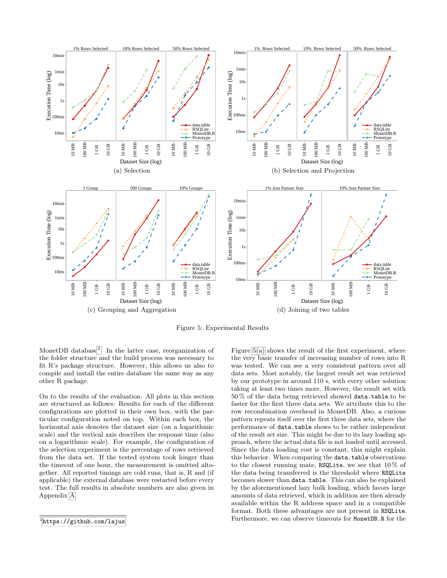<span id="page-6-1"></span>

<span id="page-6-2"></span>Figure 5: Experimental Results

<span id="page-6-3"></span>MonetDB database<sup>[2](#page-6-0)</sup>. In the latter case, reorganization of the folder structure and the build process was necessary to fit R's package structure. However, this allows us also to compile and install the entire database the same way as any other R package.

On to the results of the evaluation. All plots in this section are structured as follows: Results for each of the different configurations are plotted in their own box, with the particular configuration noted on top. Within each box, the horizontal axis denotes the dataset size (on a logarithmic scale) and the vertical axis describes the response time (also on a logarithmic scale). For example, the configuration of the selection experiment is the percentage of rows retrieved from the data set. If the tested system took longer than the timeout of one hour, the measurement is omitted altogether. All reported timings are cold runs, that is, R and (if applicable) the external database were restarted before every test. The full results in absolute numbers are also given in Appendix [A.](#page-9-6)

<span id="page-6-4"></span>Figure [5\(a\)](#page-6-1) shows the result of the first experiment, where the very basic transfer of increasing number of rows into R was tested. We can see a very consistent pattern over all data sets. Most notably, the largest result set was retrieved by our prototype in around 110 s, with every other solution taking at least two times more. However, the result set with 50 % of the data being retrieved showed data.table.to be faster for the first three data sets. We attribute this to the row recombination overhead in MonetDB. Also, a curious pattern repeats itself over the first three data sets, where the performance of data.table shows to be rather independent of the result set size. This might be due to its lazy loading approach, where the actual data file is not loaded until accessed. Since the data loading cost is constant, this might explain this behavior. When comparing the data.table observations to the closest running mate, RSQLite, we see that  $10\%$  of the data being transferred is the threshold where RSQLite becomes slower than data.table. This can also be explained by the aforementioned lazy bulk loading, which favors large amounts of data retrieved, which in addition are then already available within the R address space and in a compatible format. Both these advantages are not present in RSQLite. Furthermore, we can observe timeouts for MonetDB.R for the

<span id="page-6-0"></span> $^{2}$ <https://github.com/lajus>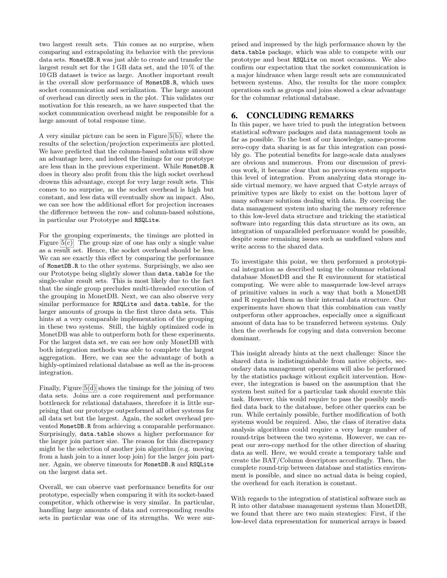two largest result sets. This comes as no surprise, when comparing and extrapolating its behavior with the previous data sets. MonetDB.R was just able to create and transfer the largest result set for the 1 GB data set, and the 10 % of the 10 GB dataset is twice as large. Another important result is the overall slow performance of MonetDB.R, which uses socket communication and serialization. The large amount of overhead can directly seen in the plot. This validates our motivation for this research, as we have suspected that the socket communication overhead might be responsible for a large amount of total response time.

A very similar picture can be seen in Figure [5\(b\),](#page-6-2) where the results of the selection/projection experiments are plotted. We have predicted that the column-based solutions will show an advantage here, and indeed the timings for our prototype are less than in the previous experiment. While MonetDB.R does in theory also profit from this the high socket overhead drowns this advantage, except for very large result sets. This comes to no surprise, as the socket overhead is high but constant, and less data will eventually show an impact. Also, we can see how the additional effort for projection increases the difference between the row- and column-based solutions, in particular our Prototype and RSQLite.

For the grouping experiments, the timings are plotted in Figure [5\(c\).](#page-6-3) The group size of one has only a single value as a result set. Hence, the socket overhead should be less. We can see exactly this effect by comparing the performance of MonetDB.R to the other systems. Surprisingly, we also see our Prototype being slightly slower than data.table for the single-value result sets. This is most likely due to the fact that the single group precludes multi-threaded execution of the grouping in MonetDB. Next, we can also observe very similar performance for RSQLite and data.table, for the larger amounts of groups in the first three data sets. This hints at a very comparable implementation of the grouping in these two systems. Still, the highly optimized code in MonetDB was able to outperform both for these experiments. For the largest data set, we can see how only MonetDB with both integration methods was able to complete the largest aggregation. Here, we can see the advantage of both a highly-optimized relational database as well as the in-process integration.

Finally, Figure [5\(d\)](#page-6-4) shows the timings for the joining of two data sets. Joins are a core requirement and performance bottleneck for relational databases, therefore it is little surprising that our prototype outperformed all other systems for all data set but the largest. Again, the socket overhead prevented MonetDB.R from achieving a comparable performance. Surprisingly, data.table shows a higher performance for the larger join partner size. The reason for this discrepancy might be the selection of another join algorithm (e.g. moving from a hash join to a inner loop join) for the larger join partner. Again, we observe timeouts for MonetDB.R and RSQLite on the largest data set.

Overall, we can observe vast performance benefits for our prototype, especially when comparing it with its socket-based competitor, which otherwise is very similar. In particular, handling large amounts of data and corresponding results sets in particular was one of its strengths. We were surprised and impressed by the high performance shown by the data.table package, which was able to compete with our prototype and beat RSQLite on most occasions. We also confirm our expectation that the socket communication is a major hindrance when large result sets are communicated between systems. Also, the results for the more complex operations such as groups and joins showed a clear advantage for the columnar relational database.

# <span id="page-7-0"></span>6. CONCLUDING REMARKS

In this paper, we have tried to push the integration between statistical software packages and data management tools as far as possible. To the best of our knowledge, same-process zero-copy data sharing is as far this integration can possibly go. The potential benefits for large-scale data analyses are obvious and numerous. From our discussion of previous work, it became clear that no previous system supports this level of integration. From analyzing data storage inside virtual memory, we have argued that C-style arrays of primitive types are likely to exist on the bottom layer of many software solutions dealing with data. By coercing the data management system into sharing the memory reference to this low-level data structure and tricking the statistical software into regarding this data structure as its own, an integration of unparalleled performance would be possible, despite some remaining issues such as undefined values and write access to the shared data.

To investigate this point, we then performed a prototypical integration as described using the columnar relational database MonetDB and the R environment for statistical computing. We were able to masquerade low-level arrays of primitive values in such a way that both a MonetDB and R regarded them as their internal data structure. Our experiments have shown that this combination can vastly outperform other approaches, especially once a significant amount of data has to be transferred between systems. Only then the overheads for copying and data conversion become dominant.

This insight already hints at the next challenge: Since the shared data is indistinguishable from native objects, secondary data management operations will also be performed by the statistics package without explicit intervention. However, the integration is based on the assumption that the system best suited for a particular task should execute this task. However, this would require to pass the possibly modified data back to the database, before other queries can be run. While certainly possible, further modification of both systems would be required. Also, the class of iterative data analysis algorithms could require a very large number of round-trips between the two systems. However, we can repeat our zero-copy method for the other direction of sharing data as well. Here, we would create a temporary table and create the BAT/Column descriptors accordingly. Then, the complete round-trip between database and statistics environment is possible, and since no actual data is being copied, the overhead for each iteration is constant.

With regards to the integration of statistical software such as R into other database management systems than MonetDB, we found that there are two main strategies: First, if the low-level data representation for numerical arrays is based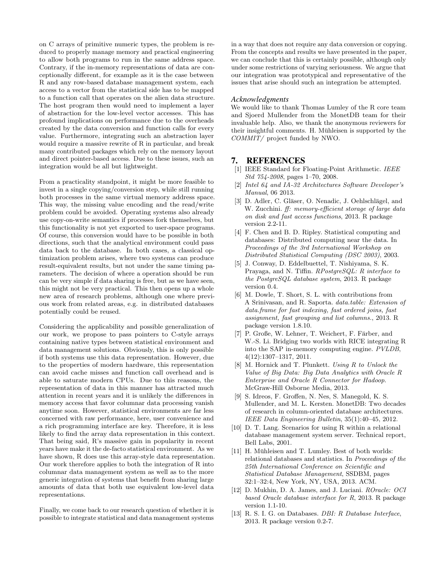on C arrays of primitive numeric types, the problem is reduced to properly manage memory and practical engineering to allow both programs to run in the same address space. Contrary, if the in-memory representations of data are conceptionally different, for example as it is the case between R and any row-based database management system, each access to a vector from the statistical side has to be mapped to a function call that operates on the alien data structure. The host program then would need to implement a layer of abstraction for the low-level vector accesses. This has profound implications on performance due to the overheads created by the data conversion and function calls for every value. Furthermore, integrating such an abstraction layer would require a massive rewrite of R in particular, and break many contributed packages which rely on the memory layout and direct pointer-based access. Due to these issues, such an integration would be all but lightweight.

From a practicality standpoint, it might be more feasible to invest in a single copying/conversion step, while still running both processes in the same virtual memory address space. This way, the missing value encoding and the read/write problem could be avoided. Operating systems also already use copy-on-write semantics if processes fork themselves, but this functionality is not yet exported to user-space programs. Of course, this conversion would have to be possible in both directions, such that the analytical environment could pass data back to the database. In both cases, a classical optimization problem arises, where two systems can produce result-equivalent results, but not under the same timing parameters. The decision of where a operation should be run can be very simple if data sharing is free, but as we have seen, this might not be very practical. This then opens up a whole new area of research problems, although one where previous work from related areas, e.g. in distributed databases potentially could be reused.

Considering the applicability and possible generalization of our work, we propose to pass pointers to C-style arrays containing native types between statistical environment and data management solutions. Obviously, this is only possible if both systems use this data representation. However, due to the properties of modern hardware, this representation can avoid cache misses and function call overhead and is able to saturate modern CPUs. Due to this reasons, the representation of data in this manner has attracted much attention in recent years and it is unlikely the differences in memory access that favor columnar data processing vanish anytime soon. However, statistical environments are far less concerned with raw performance, here, user convenience and a rich programming interface are key. Therefore, it is less likely to find the array data representation in this context. That being said, R's massive gain in popularity in recent years have make it the de-facto statistical environment. As we have shown, R does use this array-style data representation. Our work therefore applies to both the integration of R into columnar data management system as well as to the more generic integration of systems that benefit from sharing large amounts of data that both use equivalent low-level data representations.

Finally, we come back to our research question of whether it is possible to integrate statistical and data management systems in a way that does not require any data conversion or copying. From the concepts and results we have presented in the paper, we can conclude that this is certainly possible, although only under some restrictions of varying seriousness. We argue that our integration was prototypical and representative of the issues that arise should such an integration be attempted.

#### *Acknowledgments*

We would like to thank Thomas Lumley of the R core team and Sjoerd Mullender from the MonetDB team for their invaluable help. Also, we thank the anonymous reviewers for their insightful comments. H. Mühleisen is supported by the COMMIT/ project funded by NWO.

#### 7. REFERENCES

- <span id="page-8-10"></span>[1] IEEE Standard for Floating-Point Arithmetic. IEEE Std 754-2008, pages 1–70, 2008.
- <span id="page-8-9"></span>[2] Intel 64 and IA-32 Architectures Software Developer's Manual, 06 2013.
- <span id="page-8-4"></span>[3] D. Adler, C. Gläser, O. Nenadic, J. Oehlschlägel, and W. Zucchini. ff: memory-efficient storage of large data on disk and fast access functions, 2013. R package version 2.2-11.
- <span id="page-8-8"></span>[4] F. Chen and B. D. Ripley. Statistical computing and databases: Distributed computing near the data. In Proceedings of the 3rd International Workshop on Distributed Statistical Computing (DSC 2003), 2003.
- <span id="page-8-1"></span>[5] J. Conway, D. Eddelbuettel, T. Nishiyama, S. K. Prayaga, and N. Tiffin. RPostgreSQL: R interface to the PostgreSQL database system, 2013. R package version 0.4.
- <span id="page-8-3"></span>[6] M. Dowle, T. Short, S. L. with contributions from A Srinivasan, and R. Saporta. data.table: Extension of data.frame for fast indexing, fast ordered joins, fast assignment, fast grouping and list columns., 2013. R package version 1.8.10.
- <span id="page-8-7"></span>[7] P. Große, W. Lehner, T. Weichert, F. Färber, and W.-S. Li. Bridging two worlds with RICE integrating R into the SAP in-memory computing engine. PVLDB, 4(12):1307–1317, 2011.
- <span id="page-8-6"></span>[8] M. Hornick and T. Plunkett. Using R to Unlock the Value of Big Data: Big Data Analytics with Oracle R Enterprise and Oracle R Connector for Hadoop. McGraw-Hill Osborne Media, 2013.
- <span id="page-8-11"></span>[9] S. Idreos, F. Groffen, N. Nes, S. Manegold, K. S. Mullender, and M. L. Kersten. MonetDB: Two decades of research in column-oriented database architectures. IEEE Data Engineering Bulletin, 35(1):40–45, 2012.
- <span id="page-8-5"></span>[10] D. T. Lang. Scenarios for using R within a relational database management system server. Technical report, Bell Labs, 2001.
- <span id="page-8-0"></span>[11] H. Mühleisen and T. Lumley. Best of both worlds: relational databases and statistics. In Proceedings of the 25th International Conference on Scientific and Statistical Database Management, SSDBM, pages 32:1–32:4, New York, NY, USA, 2013. ACM.
- <span id="page-8-2"></span>[12] D. Mukhin, D. A. James, and J. Luciani. ROracle: OCI based Oracle database interface for R, 2013. R package version 1.1-10.
- <span id="page-8-12"></span>[13] R. S. I. G. on Databases. *DBI: R Database Interface*, 2013. R package version 0.2-7.